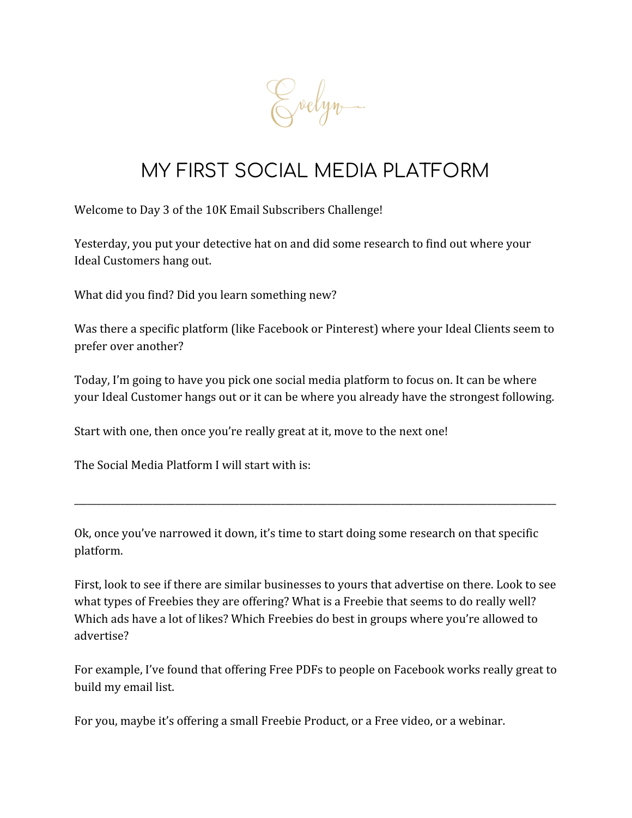Evelyn.

## MY FIRST SOCIAL MEDIA PLATFORM

Welcome to Day 3 of the 10K Email Subscribers Challenge!

Yesterday, you put your detective hat on and did some research to find out where your Ideal Customers hang out.

What did you find? Did you learn something new?

Was there a specific platform (like Facebook or Pinterest) where your Ideal Clients seem to prefer over another?

Today, I'm going to have you pick one social media platform to focus on. It can be where your Ideal Customer hangs out or it can be where you already have the strongest following.

Start with one, then once you're really great at it, move to the next one!

The Social Media Platform I will start with is:

Ok, once you've narrowed it down, it's time to start doing some research on that specific platform.

\_\_\_\_\_\_\_\_\_\_\_\_\_\_\_\_\_\_\_\_\_\_\_\_\_\_\_\_\_\_\_\_\_\_\_\_\_\_\_\_\_\_\_\_\_\_\_\_\_\_\_\_\_\_\_\_\_\_\_\_\_\_\_\_\_\_\_\_\_\_\_\_\_\_\_\_\_\_\_\_\_\_\_\_\_\_\_\_\_\_\_\_\_\_\_\_\_\_\_\_\_\_\_\_\_

First, look to see if there are similar businesses to yours that advertise on there. Look to see what types of Freebies they are offering? What is a Freebie that seems to do really well? Which ads have a lot of likes? Which Freebies do best in groups where you're allowed to advertise?

For example, I've found that offering Free PDFs to people on Facebook works really great to build my email list.

For you, maybe it's offering a small Freebie Product, or a Free video, or a webinar.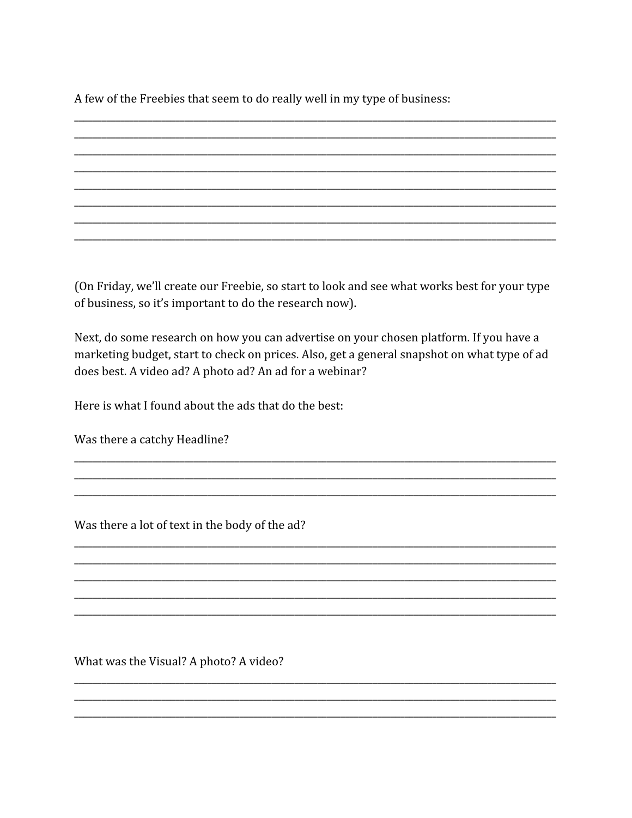A few of the Freebies that seem to do really well in my type of business:

(On Friday, we'll create our Freebie, so start to look and see what works best for your type of business, so it's important to do the research now).

Next, do some research on how you can advertise on your chosen platform. If you have a marketing budget, start to check on prices. Also, get a general snapshot on what type of ad does best. A video ad? A photo ad? An ad for a webinar?

Here is what I found about the ads that do the best:

Was there a catchy Headline?

Was there a lot of text in the body of the ad?

What was the Visual? A photo? A video?